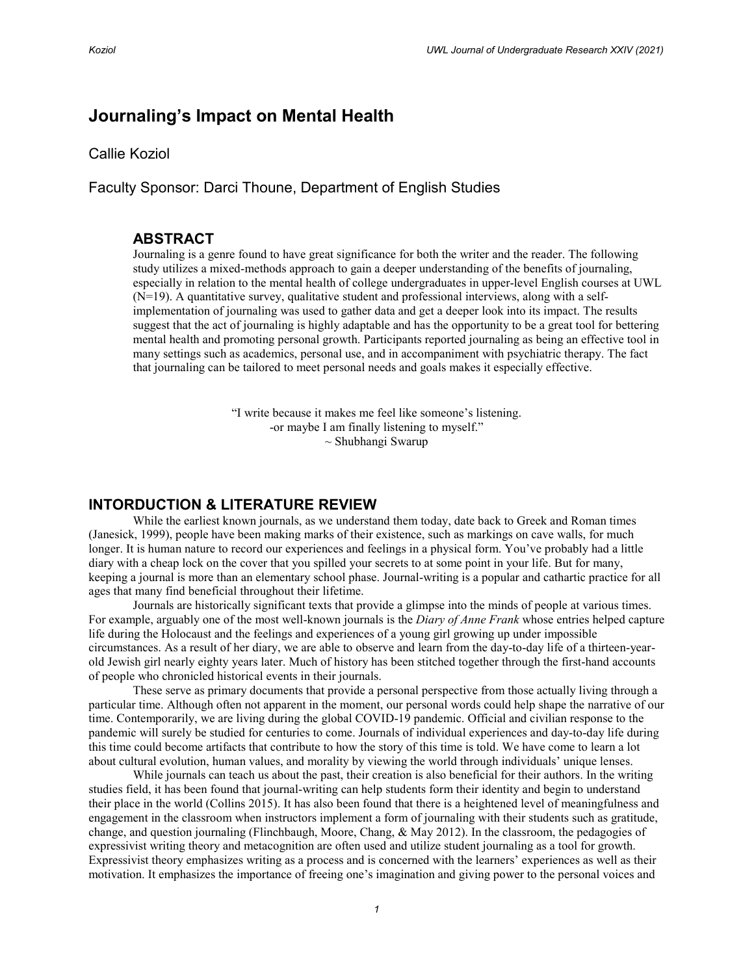# **Journaling's Impact on Mental Health**

Callie Koziol

Faculty Sponsor: Darci Thoune, Department of English Studies

# **ABSTRACT**

Journaling is a genre found to have great significance for both the writer and the reader. The following study utilizes a mixed-methods approach to gain a deeper understanding of the benefits of journaling, especially in relation to the mental health of college undergraduates in upper-level English courses at UWL (N=19). A quantitative survey, qualitative student and professional interviews, along with a selfimplementation of journaling was used to gather data and get a deeper look into its impact. The results suggest that the act of journaling is highly adaptable and has the opportunity to be a great tool for bettering mental health and promoting personal growth. Participants reported journaling as being an effective tool in many settings such as academics, personal use, and in accompaniment with psychiatric therapy. The fact that journaling can be tailored to meet personal needs and goals makes it especially effective.

> "I write because it makes me feel like someone's listening. -or maybe I am finally listening to myself." ~ Shubhangi Swarup

# **INTORDUCTION & LITERATURE REVIEW**

While the earliest known journals, as we understand them today, date back to Greek and Roman times (Janesick, 1999), people have been making marks of their existence, such as markings on cave walls, for much longer. It is human nature to record our experiences and feelings in a physical form. You've probably had a little diary with a cheap lock on the cover that you spilled your secrets to at some point in your life. But for many, keeping a journal is more than an elementary school phase. Journal-writing is a popular and cathartic practice for all ages that many find beneficial throughout their lifetime.

Journals are historically significant texts that provide a glimpse into the minds of people at various times. For example, arguably one of the most well-known journals is the *Diary of Anne Frank* whose entries helped capture life during the Holocaust and the feelings and experiences of a young girl growing up under impossible circumstances. As a result of her diary, we are able to observe and learn from the day-to-day life of a thirteen-yearold Jewish girl nearly eighty years later. Much of history has been stitched together through the first-hand accounts of people who chronicled historical events in their journals.

These serve as primary documents that provide a personal perspective from those actually living through a particular time. Although often not apparent in the moment, our personal words could help shape the narrative of our time. Contemporarily, we are living during the global COVID-19 pandemic. Official and civilian response to the pandemic will surely be studied for centuries to come. Journals of individual experiences and day-to-day life during this time could become artifacts that contribute to how the story of this time is told. We have come to learn a lot about cultural evolution, human values, and morality by viewing the world through individuals' unique lenses.

While journals can teach us about the past, their creation is also beneficial for their authors. In the writing studies field, it has been found that journal-writing can help students form their identity and begin to understand their place in the world (Collins 2015). It has also been found that there is a heightened level of meaningfulness and engagement in the classroom when instructors implement a form of journaling with their students such as gratitude, change, and question journaling (Flinchbaugh, Moore, Chang, & May 2012). In the classroom, the pedagogies of expressivist writing theory and metacognition are often used and utilize student journaling as a tool for growth. Expressivist theory emphasizes writing as a process and is concerned with the learners' experiences as well as their motivation. It emphasizes the importance of freeing one's imagination and giving power to the personal voices and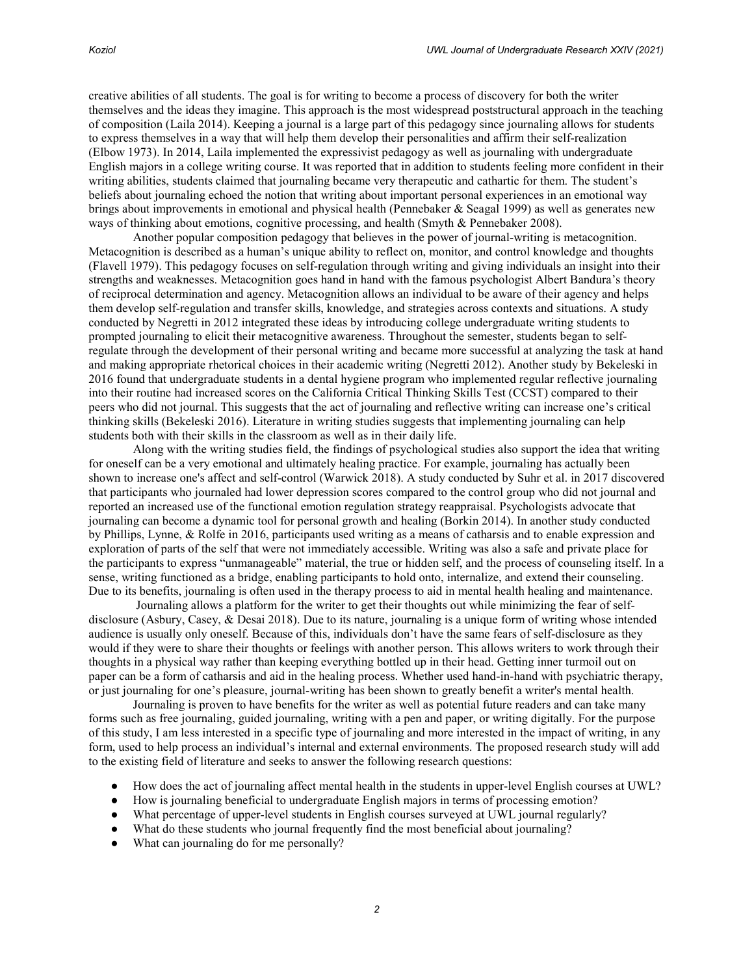creative abilities of all students. The goal is for writing to become a process of discovery for both the writer themselves and the ideas they imagine. This approach is the most widespread poststructural approach in the teaching of composition (Laila 2014). Keeping a journal is a large part of this pedagogy since journaling allows for students to express themselves in a way that will help them develop their personalities and affirm their self-realization (Elbow 1973). In 2014, Laila implemented the expressivist pedagogy as well as journaling with undergraduate English majors in a college writing course. It was reported that in addition to students feeling more confident in their writing abilities, students claimed that journaling became very therapeutic and cathartic for them. The student's beliefs about journaling echoed the notion that writing about important personal experiences in an emotional way brings about improvements in emotional and physical health (Pennebaker & Seagal 1999) as well as generates new ways of thinking about emotions, cognitive processing, and health (Smyth & Pennebaker 2008).

Another popular composition pedagogy that believes in the power of journal-writing is metacognition. Metacognition is described as a human's unique ability to reflect on, monitor, and control knowledge and thoughts (Flavell 1979). This pedagogy focuses on self-regulation through writing and giving individuals an insight into their strengths and weaknesses. Metacognition goes hand in hand with the famous psychologist Albert Bandura's theory of reciprocal determination and agency. Metacognition allows an individual to be aware of their agency and helps them develop self-regulation and transfer skills, knowledge, and strategies across contexts and situations. A study conducted by Negretti in 2012 integrated these ideas by introducing college undergraduate writing students to prompted journaling to elicit their metacognitive awareness. Throughout the semester, students began to selfregulate through the development of their personal writing and became more successful at analyzing the task at hand and making appropriate rhetorical choices in their academic writing (Negretti 2012). Another study by Bekeleski in 2016 found that undergraduate students in a dental hygiene program who implemented regular reflective journaling into their routine had increased scores on the California Critical Thinking Skills Test (CCST) compared to their peers who did not journal. This suggests that the act of journaling and reflective writing can increase one's critical thinking skills (Bekeleski 2016). Literature in writing studies suggests that implementing journaling can help students both with their skills in the classroom as well as in their daily life.

Along with the writing studies field, the findings of psychological studies also support the idea that writing for oneself can be a very emotional and ultimately healing practice. For example, journaling has actually been shown to increase one's affect and self-control (Warwick 2018). A study conducted by Suhr et al. in 2017 discovered that participants who journaled had lower depression scores compared to the control group who did not journal and reported an increased use of the functional emotion regulation strategy reappraisal. Psychologists advocate that journaling can become a dynamic tool for personal growth and healing (Borkin 2014). In another study conducted by Phillips, Lynne, & Rolfe in 2016, participants used writing as a means of catharsis and to enable expression and exploration of parts of the self that were not immediately accessible. Writing was also a safe and private place for the participants to express "unmanageable" material, the true or hidden self, and the process of counseling itself. In a sense, writing functioned as a bridge, enabling participants to hold onto, internalize, and extend their counseling. Due to its benefits, journaling is often used in the therapy process to aid in mental health healing and maintenance.

Journaling allows a platform for the writer to get their thoughts out while minimizing the fear of selfdisclosure (Asbury, Casey, & Desai 2018). Due to its nature, journaling is a unique form of writing whose intended audience is usually only oneself. Because of this, individuals don't have the same fears of self-disclosure as they would if they were to share their thoughts or feelings with another person. This allows writers to work through their thoughts in a physical way rather than keeping everything bottled up in their head. Getting inner turmoil out on paper can be a form of catharsis and aid in the healing process. Whether used hand-in-hand with psychiatric therapy, or just journaling for one's pleasure, journal-writing has been shown to greatly benefit a writer's mental health.

Journaling is proven to have benefits for the writer as well as potential future readers and can take many forms such as free journaling, guided journaling, writing with a pen and paper, or writing digitally. For the purpose of this study, I am less interested in a specific type of journaling and more interested in the impact of writing, in any form, used to help process an individual's internal and external environments. The proposed research study will add to the existing field of literature and seeks to answer the following research questions:

- How does the act of journaling affect mental health in the students in upper-level English courses at UWL?
- How is journaling beneficial to undergraduate English majors in terms of processing emotion?
- What percentage of upper-level students in English courses surveyed at UWL journal regularly?
- What do these students who journal frequently find the most beneficial about journaling?
- What can journaling do for me personally?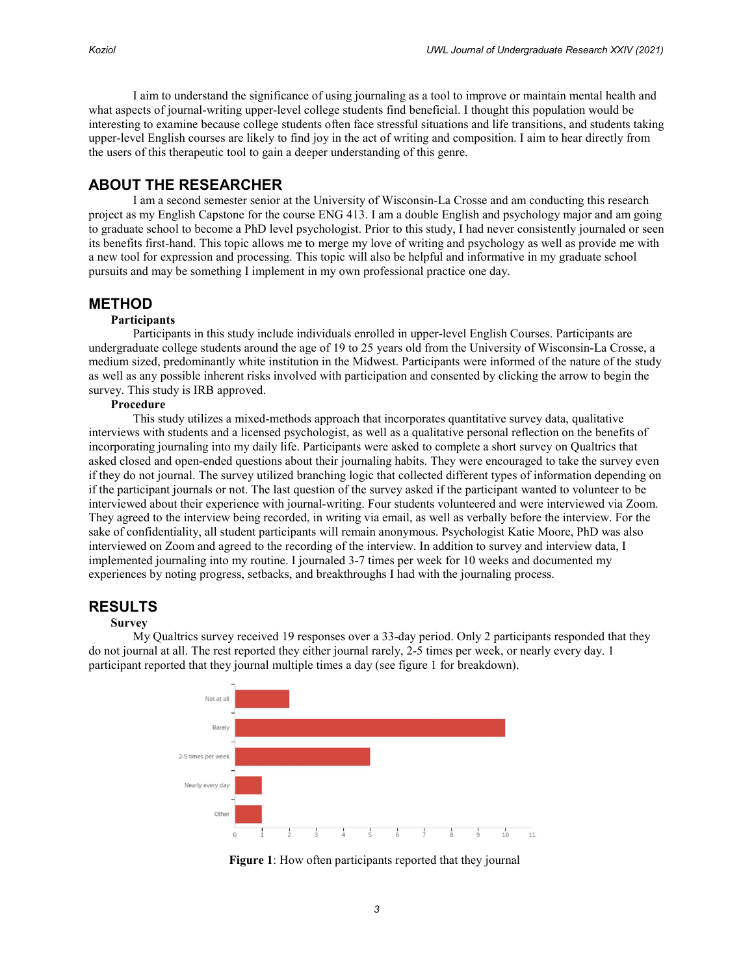I aim to understand the significance of using journaling as a tool to improve or maintain mental health and what aspects of journal-writing upper-level college students find beneficial. I thought this population would be interesting to examine because college students often face stressful situations and life transitions, and students taking upper-level English courses are likely to find joy in the act of writing and composition. I aim to hear directly from the users of this therapeutic tool to gain a deeper understanding of this genre.

# **ABOUT THE RESEARCHER**

I am a second semester senior at the University of Wisconsin-La Crosse and am conducting this research project as my English Capstone for the course ENG 413. I am a double English and psychology major and am going to graduate school to become a PhD level psychologist. Prior to this study, I had never consistently journaled or seen its benefits first-hand. This topic allows me to merge my love of writing and psychology as well as provide me with a new tool for expression and processing. This topic will also be helpful and informative in my graduate school pursuits and may be something I implement in my own professional practice one day.

# **METHOD**

### **Participants**

Participants in this study include individuals enrolled in upper-level English Courses. Participants are undergraduate college students around the age of 19 to 25 years old from the University of Wisconsin-La Crosse, a medium sized, predominantly white institution in the Midwest. Participants were informed of the nature of the study as well as any possible inherent risks involved with participation and consented by clicking the arrow to begin the survey. This study is IRB approved.

### **Procedure**

This study utilizes a mixed-methods approach that incorporates quantitative survey data, qualitative interviews with students and a licensed psychologist, as well as a qualitative personal reflection on the benefits of incorporating journaling into my daily life. Participants were asked to complete a short survey on Qualtrics that asked closed and open-ended questions about their journaling habits. They were encouraged to take the survey even if they do not journal. The survey utilized branching logic that collected different types of information depending on if the participant journals or not. The last question of the survey asked if the participant wanted to volunteer to be interviewed about their experience with journal-writing. Four students volunteered and were interviewed via Zoom. They agreed to the interview being recorded, in writing via email, as well as verbally before the interview. For the sake of confidentiality, all student participants will remain anonymous. Psychologist Katie Moore, PhD was also interviewed on Zoom and agreed to the recording of the interview. In addition to survey and interview data, I implemented journaling into my routine. I journaled 3-7 times per week for 10 weeks and documented my experiences by noting progress, setbacks, and breakthroughs I had with the journaling process.

# **RESULTS**

#### **Survey**

My Qualtrics survey received 19 responses over a 33-day period. Only 2 participants responded that they do not journal at all. The rest reported they either journal rarely, 2-5 times per week, or nearly every day. 1 participant reported that they journal multiple times a day (see figure 1 for breakdown).



**Figure 1**: How often participants reported that they journal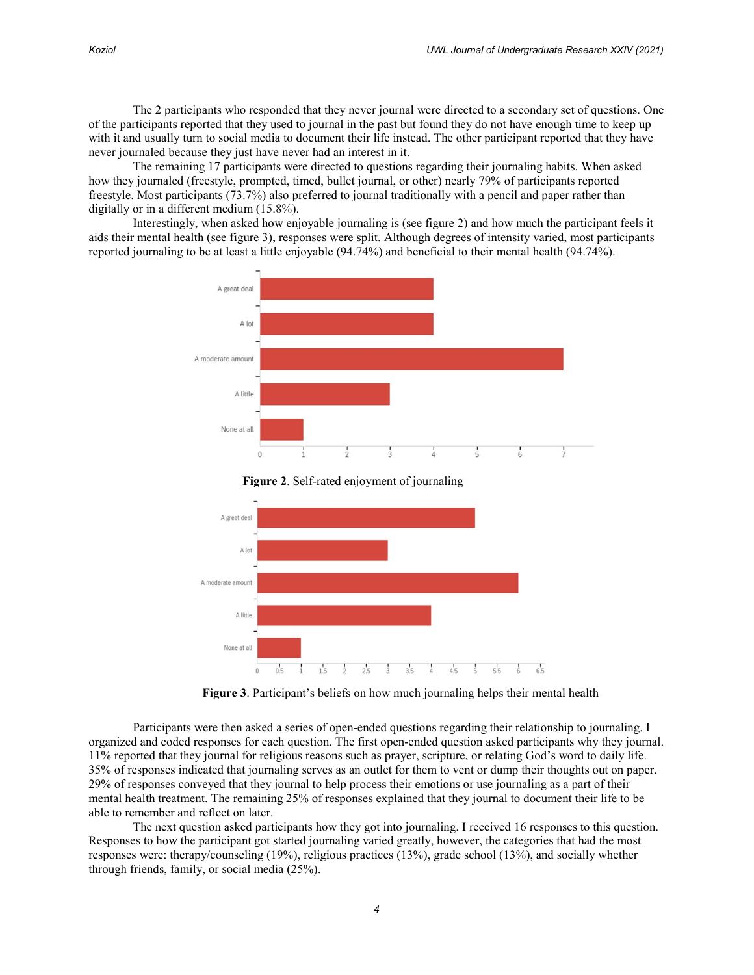The 2 participants who responded that they never journal were directed to a secondary set of questions. One of the participants reported that they used to journal in the past but found they do not have enough time to keep up with it and usually turn to social media to document their life instead. The other participant reported that they have never journaled because they just have never had an interest in it.

The remaining 17 participants were directed to questions regarding their journaling habits. When asked how they journaled (freestyle, prompted, timed, bullet journal, or other) nearly 79% of participants reported freestyle. Most participants (73.7%) also preferred to journal traditionally with a pencil and paper rather than digitally or in a different medium (15.8%).

Interestingly, when asked how enjoyable journaling is (see figure 2) and how much the participant feels it aids their mental health (see figure 3), responses were split. Although degrees of intensity varied, most participants reported journaling to be at least a little enjoyable (94.74%) and beneficial to their mental health (94.74%).







**Figure 3**. Participant's beliefs on how much journaling helps their mental health

Participants were then asked a series of open-ended questions regarding their relationship to journaling. I organized and coded responses for each question. The first open-ended question asked participants why they journal. 11% reported that they journal for religious reasons such as prayer, scripture, or relating God's word to daily life. 35% of responses indicated that journaling serves as an outlet for them to vent or dump their thoughts out on paper. 29% of responses conveyed that they journal to help process their emotions or use journaling as a part of their mental health treatment. The remaining 25% of responses explained that they journal to document their life to be able to remember and reflect on later.

The next question asked participants how they got into journaling. I received 16 responses to this question. Responses to how the participant got started journaling varied greatly, however, the categories that had the most responses were: therapy/counseling (19%), religious practices (13%), grade school (13%), and socially whether through friends, family, or social media (25%).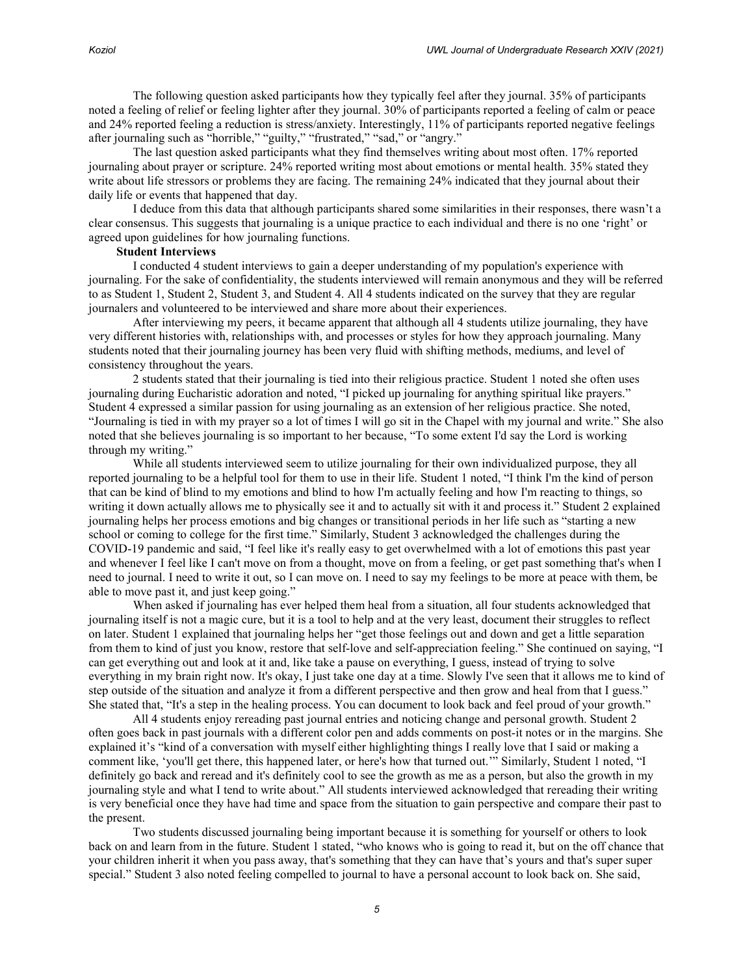The following question asked participants how they typically feel after they journal. 35% of participants noted a feeling of relief or feeling lighter after they journal. 30% of participants reported a feeling of calm or peace and 24% reported feeling a reduction is stress/anxiety. Interestingly, 11% of participants reported negative feelings after journaling such as "horrible," "guilty," "frustrated," "sad," or "angry."

The last question asked participants what they find themselves writing about most often. 17% reported journaling about prayer or scripture. 24% reported writing most about emotions or mental health. 35% stated they write about life stressors or problems they are facing. The remaining 24% indicated that they journal about their daily life or events that happened that day.

I deduce from this data that although participants shared some similarities in their responses, there wasn't a clear consensus. This suggests that journaling is a unique practice to each individual and there is no one 'right' or agreed upon guidelines for how journaling functions.

#### **Student Interviews**

I conducted 4 student interviews to gain a deeper understanding of my population's experience with journaling. For the sake of confidentiality, the students interviewed will remain anonymous and they will be referred to as Student 1, Student 2, Student 3, and Student 4. All 4 students indicated on the survey that they are regular journalers and volunteered to be interviewed and share more about their experiences.

After interviewing my peers, it became apparent that although all 4 students utilize journaling, they have very different histories with, relationships with, and processes or styles for how they approach journaling. Many students noted that their journaling journey has been very fluid with shifting methods, mediums, and level of consistency throughout the years.

2 students stated that their journaling is tied into their religious practice. Student 1 noted she often uses journaling during Eucharistic adoration and noted, "I picked up journaling for anything spiritual like prayers." Student 4 expressed a similar passion for using journaling as an extension of her religious practice. She noted, "Journaling is tied in with my prayer so a lot of times I will go sit in the Chapel with my journal and write." She also noted that she believes journaling is so important to her because, "To some extent I'd say the Lord is working through my writing."

While all students interviewed seem to utilize journaling for their own individualized purpose, they all reported journaling to be a helpful tool for them to use in their life. Student 1 noted, "I think I'm the kind of person that can be kind of blind to my emotions and blind to how I'm actually feeling and how I'm reacting to things, so writing it down actually allows me to physically see it and to actually sit with it and process it." Student 2 explained journaling helps her process emotions and big changes or transitional periods in her life such as "starting a new school or coming to college for the first time." Similarly, Student 3 acknowledged the challenges during the COVID-19 pandemic and said, "I feel like it's really easy to get overwhelmed with a lot of emotions this past year and whenever I feel like I can't move on from a thought, move on from a feeling, or get past something that's when I need to journal. I need to write it out, so I can move on. I need to say my feelings to be more at peace with them, be able to move past it, and just keep going."

When asked if journaling has ever helped them heal from a situation, all four students acknowledged that journaling itself is not a magic cure, but it is a tool to help and at the very least, document their struggles to reflect on later. Student 1 explained that journaling helps her "get those feelings out and down and get a little separation from them to kind of just you know, restore that self-love and self-appreciation feeling." She continued on saying, "I can get everything out and look at it and, like take a pause on everything, I guess, instead of trying to solve everything in my brain right now. It's okay, I just take one day at a time. Slowly I've seen that it allows me to kind of step outside of the situation and analyze it from a different perspective and then grow and heal from that I guess." She stated that, "It's a step in the healing process. You can document to look back and feel proud of your growth."

All 4 students enjoy rereading past journal entries and noticing change and personal growth. Student 2 often goes back in past journals with a different color pen and adds comments on post-it notes or in the margins. She explained it's "kind of a conversation with myself either highlighting things I really love that I said or making a comment like, 'you'll get there, this happened later, or here's how that turned out.'" Similarly, Student 1 noted, "I definitely go back and reread and it's definitely cool to see the growth as me as a person, but also the growth in my journaling style and what I tend to write about." All students interviewed acknowledged that rereading their writing is very beneficial once they have had time and space from the situation to gain perspective and compare their past to the present.

Two students discussed journaling being important because it is something for yourself or others to look back on and learn from in the future. Student 1 stated, "who knows who is going to read it, but on the off chance that your children inherit it when you pass away, that's something that they can have that's yours and that's super super special." Student 3 also noted feeling compelled to journal to have a personal account to look back on. She said,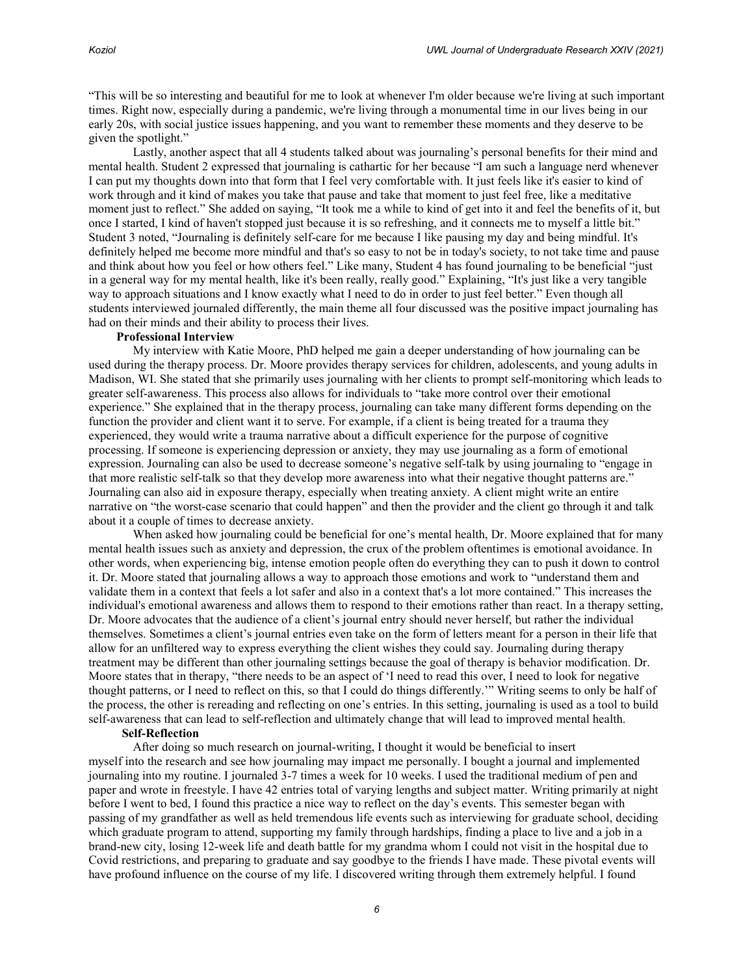"This will be so interesting and beautiful for me to look at whenever I'm older because we're living at such important times. Right now, especially during a pandemic, we're living through a monumental time in our lives being in our early 20s, with social justice issues happening, and you want to remember these moments and they deserve to be given the spotlight."

Lastly, another aspect that all 4 students talked about was journaling's personal benefits for their mind and mental health. Student 2 expressed that journaling is cathartic for her because "I am such a language nerd whenever I can put my thoughts down into that form that I feel very comfortable with. It just feels like it's easier to kind of work through and it kind of makes you take that pause and take that moment to just feel free, like a meditative moment just to reflect." She added on saying, "It took me a while to kind of get into it and feel the benefits of it, but once I started, I kind of haven't stopped just because it is so refreshing, and it connects me to myself a little bit." Student 3 noted, "Journaling is definitely self-care for me because I like pausing my day and being mindful. It's definitely helped me become more mindful and that's so easy to not be in today's society, to not take time and pause and think about how you feel or how others feel." Like many, Student 4 has found journaling to be beneficial "just in a general way for my mental health, like it's been really, really good." Explaining, "It's just like a very tangible way to approach situations and I know exactly what I need to do in order to just feel better." Even though all students interviewed journaled differently, the main theme all four discussed was the positive impact journaling has had on their minds and their ability to process their lives.

#### **Professional Interview**

My interview with Katie Moore, PhD helped me gain a deeper understanding of how journaling can be used during the therapy process. Dr. Moore provides therapy services for children, adolescents, and young adults in Madison, WI. She stated that she primarily uses journaling with her clients to prompt self-monitoring which leads to greater self-awareness. This process also allows for individuals to "take more control over their emotional experience." She explained that in the therapy process, journaling can take many different forms depending on the function the provider and client want it to serve. For example, if a client is being treated for a trauma they experienced, they would write a trauma narrative about a difficult experience for the purpose of cognitive processing. If someone is experiencing depression or anxiety, they may use journaling as a form of emotional expression. Journaling can also be used to decrease someone's negative self-talk by using journaling to "engage in that more realistic self-talk so that they develop more awareness into what their negative thought patterns are." Journaling can also aid in exposure therapy, especially when treating anxiety. A client might write an entire narrative on "the worst-case scenario that could happen" and then the provider and the client go through it and talk about it a couple of times to decrease anxiety.

When asked how journaling could be beneficial for one's mental health, Dr. Moore explained that for many mental health issues such as anxiety and depression, the crux of the problem oftentimes is emotional avoidance. In other words, when experiencing big, intense emotion people often do everything they can to push it down to control it. Dr. Moore stated that journaling allows a way to approach those emotions and work to "understand them and validate them in a context that feels a lot safer and also in a context that's a lot more contained." This increases the individual's emotional awareness and allows them to respond to their emotions rather than react. In a therapy setting, Dr. Moore advocates that the audience of a client's journal entry should never herself, but rather the individual themselves. Sometimes a client's journal entries even take on the form of letters meant for a person in their life that allow for an unfiltered way to express everything the client wishes they could say. Journaling during therapy treatment may be different than other journaling settings because the goal of therapy is behavior modification. Dr. Moore states that in therapy, "there needs to be an aspect of 'I need to read this over, I need to look for negative thought patterns, or I need to reflect on this, so that I could do things differently.'" Writing seems to only be half of the process, the other is rereading and reflecting on one's entries. In this setting, journaling is used as a tool to build self-awareness that can lead to self-reflection and ultimately change that will lead to improved mental health.

#### **Self-Reflection**

After doing so much research on journal-writing, I thought it would be beneficial to insert myself into the research and see how journaling may impact me personally. I bought a journal and implemented journaling into my routine. I journaled 3-7 times a week for 10 weeks. I used the traditional medium of pen and paper and wrote in freestyle. I have 42 entries total of varying lengths and subject matter. Writing primarily at night before I went to bed, I found this practice a nice way to reflect on the day's events. This semester began with passing of my grandfather as well as held tremendous life events such as interviewing for graduate school, deciding which graduate program to attend, supporting my family through hardships, finding a place to live and a job in a brand-new city, losing 12-week life and death battle for my grandma whom I could not visit in the hospital due to Covid restrictions, and preparing to graduate and say goodbye to the friends I have made. These pivotal events will have profound influence on the course of my life. I discovered writing through them extremely helpful. I found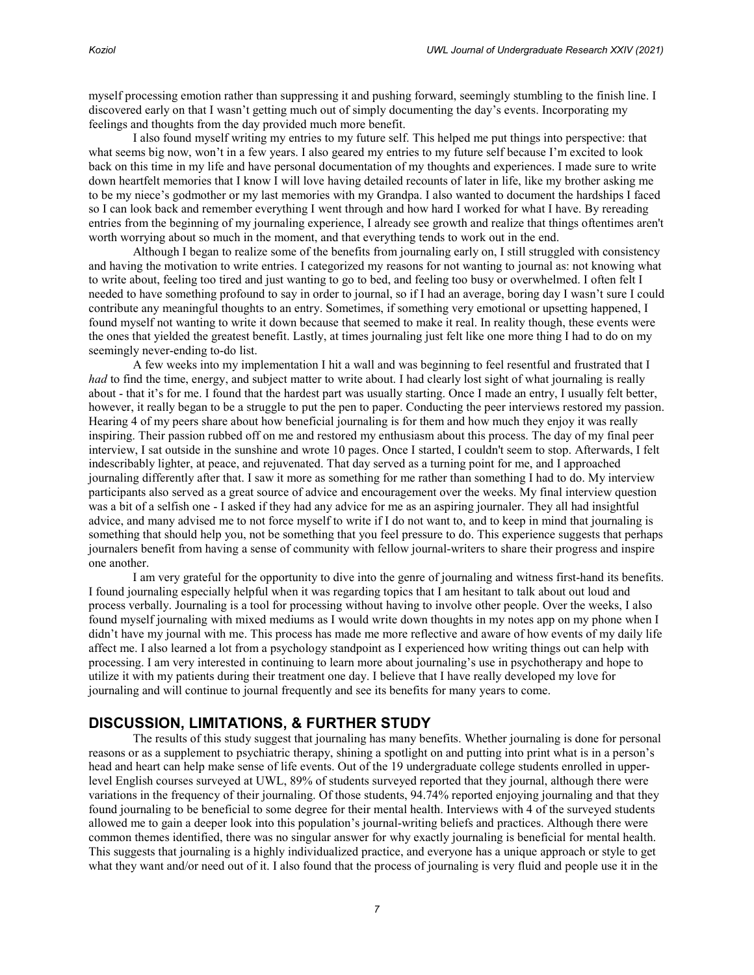myself processing emotion rather than suppressing it and pushing forward, seemingly stumbling to the finish line. I discovered early on that I wasn't getting much out of simply documenting the day's events. Incorporating my feelings and thoughts from the day provided much more benefit.

I also found myself writing my entries to my future self. This helped me put things into perspective: that what seems big now, won't in a few years. I also geared my entries to my future self because I'm excited to look back on this time in my life and have personal documentation of my thoughts and experiences. I made sure to write down heartfelt memories that I know I will love having detailed recounts of later in life, like my brother asking me to be my niece's godmother or my last memories with my Grandpa. I also wanted to document the hardships I faced so I can look back and remember everything I went through and how hard I worked for what I have. By rereading entries from the beginning of my journaling experience, I already see growth and realize that things oftentimes aren't worth worrying about so much in the moment, and that everything tends to work out in the end.

Although I began to realize some of the benefits from journaling early on, I still struggled with consistency and having the motivation to write entries. I categorized my reasons for not wanting to journal as: not knowing what to write about, feeling too tired and just wanting to go to bed, and feeling too busy or overwhelmed. I often felt I needed to have something profound to say in order to journal, so if I had an average, boring day I wasn't sure I could contribute any meaningful thoughts to an entry. Sometimes, if something very emotional or upsetting happened, I found myself not wanting to write it down because that seemed to make it real. In reality though, these events were the ones that yielded the greatest benefit. Lastly, at times journaling just felt like one more thing I had to do on my seemingly never-ending to-do list.

A few weeks into my implementation I hit a wall and was beginning to feel resentful and frustrated that I *had* to find the time, energy, and subject matter to write about. I had clearly lost sight of what journaling is really about - that it's for me. I found that the hardest part was usually starting. Once I made an entry, I usually felt better, however, it really began to be a struggle to put the pen to paper. Conducting the peer interviews restored my passion. Hearing 4 of my peers share about how beneficial journaling is for them and how much they enjoy it was really inspiring. Their passion rubbed off on me and restored my enthusiasm about this process. The day of my final peer interview, I sat outside in the sunshine and wrote 10 pages. Once I started, I couldn't seem to stop. Afterwards, I felt indescribably lighter, at peace, and rejuvenated. That day served as a turning point for me, and I approached journaling differently after that. I saw it more as something for me rather than something I had to do. My interview participants also served as a great source of advice and encouragement over the weeks. My final interview question was a bit of a selfish one - I asked if they had any advice for me as an aspiring journaler. They all had insightful advice, and many advised me to not force myself to write if I do not want to, and to keep in mind that journaling is something that should help you, not be something that you feel pressure to do. This experience suggests that perhaps journalers benefit from having a sense of community with fellow journal-writers to share their progress and inspire one another.

I am very grateful for the opportunity to dive into the genre of journaling and witness first-hand its benefits. I found journaling especially helpful when it was regarding topics that I am hesitant to talk about out loud and process verbally. Journaling is a tool for processing without having to involve other people. Over the weeks, I also found myself journaling with mixed mediums as I would write down thoughts in my notes app on my phone when I didn't have my journal with me. This process has made me more reflective and aware of how events of my daily life affect me. I also learned a lot from a psychology standpoint as I experienced how writing things out can help with processing. I am very interested in continuing to learn more about journaling's use in psychotherapy and hope to utilize it with my patients during their treatment one day. I believe that I have really developed my love for journaling and will continue to journal frequently and see its benefits for many years to come.

# **DISCUSSION, LIMITATIONS, & FURTHER STUDY**

The results of this study suggest that journaling has many benefits. Whether journaling is done for personal reasons or as a supplement to psychiatric therapy, shining a spotlight on and putting into print what is in a person's head and heart can help make sense of life events. Out of the 19 undergraduate college students enrolled in upperlevel English courses surveyed at UWL, 89% of students surveyed reported that they journal, although there were variations in the frequency of their journaling. Of those students, 94.74% reported enjoying journaling and that they found journaling to be beneficial to some degree for their mental health. Interviews with 4 of the surveyed students allowed me to gain a deeper look into this population's journal-writing beliefs and practices. Although there were common themes identified, there was no singular answer for why exactly journaling is beneficial for mental health. This suggests that journaling is a highly individualized practice, and everyone has a unique approach or style to get what they want and/or need out of it. I also found that the process of journaling is very fluid and people use it in the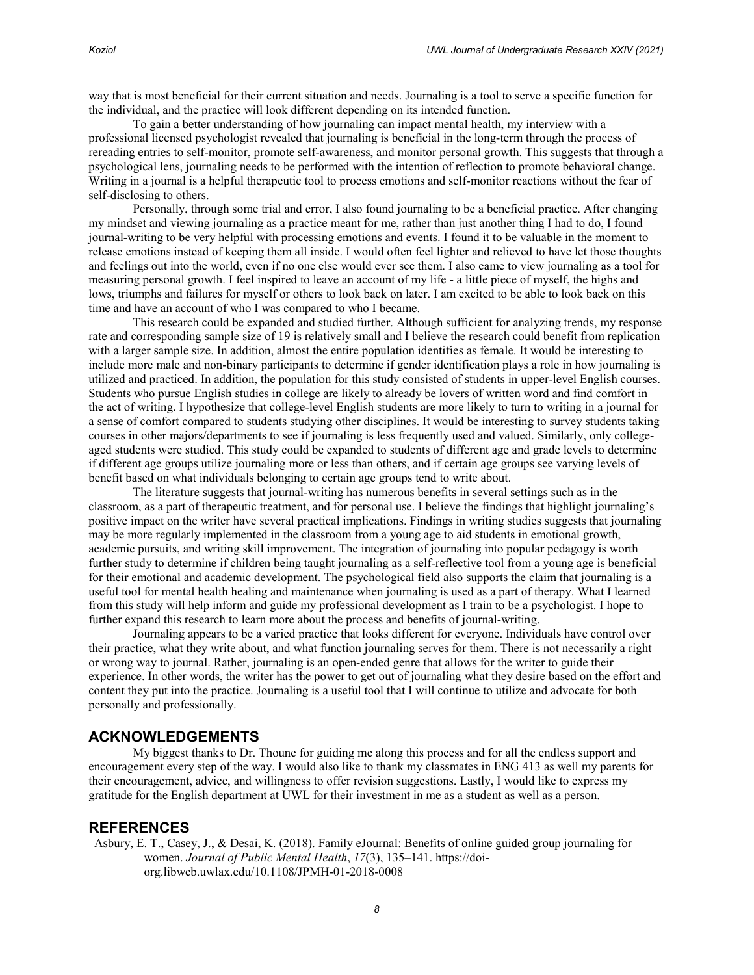way that is most beneficial for their current situation and needs. Journaling is a tool to serve a specific function for the individual, and the practice will look different depending on its intended function.

To gain a better understanding of how journaling can impact mental health, my interview with a professional licensed psychologist revealed that journaling is beneficial in the long-term through the process of rereading entries to self-monitor, promote self-awareness, and monitor personal growth. This suggests that through a psychological lens, journaling needs to be performed with the intention of reflection to promote behavioral change. Writing in a journal is a helpful therapeutic tool to process emotions and self-monitor reactions without the fear of self-disclosing to others.

Personally, through some trial and error, I also found journaling to be a beneficial practice. After changing my mindset and viewing journaling as a practice meant for me, rather than just another thing I had to do, I found journal-writing to be very helpful with processing emotions and events. I found it to be valuable in the moment to release emotions instead of keeping them all inside. I would often feel lighter and relieved to have let those thoughts and feelings out into the world, even if no one else would ever see them. I also came to view journaling as a tool for measuring personal growth. I feel inspired to leave an account of my life - a little piece of myself, the highs and lows, triumphs and failures for myself or others to look back on later. I am excited to be able to look back on this time and have an account of who I was compared to who I became.

This research could be expanded and studied further. Although sufficient for analyzing trends, my response rate and corresponding sample size of 19 is relatively small and I believe the research could benefit from replication with a larger sample size. In addition, almost the entire population identifies as female. It would be interesting to include more male and non-binary participants to determine if gender identification plays a role in how journaling is utilized and practiced. In addition, the population for this study consisted of students in upper-level English courses. Students who pursue English studies in college are likely to already be lovers of written word and find comfort in the act of writing. I hypothesize that college-level English students are more likely to turn to writing in a journal for a sense of comfort compared to students studying other disciplines. It would be interesting to survey students taking courses in other majors/departments to see if journaling is less frequently used and valued. Similarly, only collegeaged students were studied. This study could be expanded to students of different age and grade levels to determine if different age groups utilize journaling more or less than others, and if certain age groups see varying levels of benefit based on what individuals belonging to certain age groups tend to write about.

The literature suggests that journal-writing has numerous benefits in several settings such as in the classroom, as a part of therapeutic treatment, and for personal use. I believe the findings that highlight journaling's positive impact on the writer have several practical implications. Findings in writing studies suggests that journaling may be more regularly implemented in the classroom from a young age to aid students in emotional growth, academic pursuits, and writing skill improvement. The integration of journaling into popular pedagogy is worth further study to determine if children being taught journaling as a self-reflective tool from a young age is beneficial for their emotional and academic development. The psychological field also supports the claim that journaling is a useful tool for mental health healing and maintenance when journaling is used as a part of therapy. What I learned from this study will help inform and guide my professional development as I train to be a psychologist. I hope to further expand this research to learn more about the process and benefits of journal-writing.

Journaling appears to be a varied practice that looks different for everyone. Individuals have control over their practice, what they write about, and what function journaling serves for them. There is not necessarily a right or wrong way to journal. Rather, journaling is an open-ended genre that allows for the writer to guide their experience. In other words, the writer has the power to get out of journaling what they desire based on the effort and content they put into the practice. Journaling is a useful tool that I will continue to utilize and advocate for both personally and professionally.

### **ACKNOWLEDGEMENTS**

My biggest thanks to Dr. Thoune for guiding me along this process and for all the endless support and encouragement every step of the way. I would also like to thank my classmates in ENG 413 as well my parents for their encouragement, advice, and willingness to offer revision suggestions. Lastly, I would like to express my gratitude for the English department at UWL for their investment in me as a student as well as a person.

### **REFERENCES**

Asbury, E. T., Casey, J., & Desai, K. (2018). Family eJournal: Benefits of online guided group journaling for women. *Journal of Public Mental Health*, *17*(3), 135–141[. https://doi](https://doi-org.libweb.uwlax.edu/10.1108/JPMH-01-2018-0008)[org.libweb.uwlax.edu/10.1108/JPMH-01-2018-0008](https://doi-org.libweb.uwlax.edu/10.1108/JPMH-01-2018-0008)